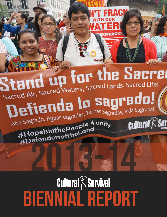## **up for the Sacred** Stand up for the DoL! Stand Air, Sacred Waters, Sacred Lander<br>
Defiendal D. Sagradas, Vida Sagrada! **Cultural** $\widehat{\times}$ Sur #HopeisinthePeople #unify<br>#DefendersoftheLand

**RACK!** 

# **Cultural<sup><sup></sup> Survival<br>BIENNIAL REPORT**</sup>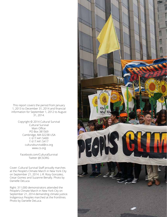This report covers the period from January 1, 2013 to December 31, 2014 and financial information for September 1, 2012 to August 31, 2014.

> Copyright © 2014 Cultural Survival Cultural Survival Main Office: PO Box 381569 Cambridge, MA 02238 USA t: 617.441.5400 f: 617.441.5417 culturalsurvival@cs.org www.cs.org

Facebook.com/CulturalSurvival Twitter @CSORG

Cover: Cultural Survival Staff proudly marches at the People's Climate March in New York City on September 21, 2014. L-R: Rosy Gonzalez, Cesar Gomez and Suzanne Benally. Photo by Danielle DeLuca.

Right: 311,000 demonstrators attended the People's Climate March in New York City on September 21, 2014 demanding climate justice. Indigenous Peoples marched at the frontlines. Photo by Danielle DeLuca.

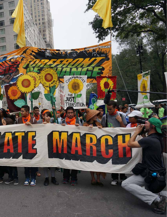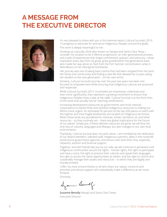## **A MESSAGE FROM THE EXECUTIVE DIRECTOR**



I'm very pleased to share with you in this biennial report Cultural Survival's 2013- 14 progress to advocate for and serve Indigenous Peoples around the globe.

This work is deeply meaningful to me.

Growing up culturally, Diné (also known as Navajo) and Santa Clara Tewa, I consider my vocation to be a lifetime progression, an inter-generational process, and a web of experiences that shape commitment, passion, and advocacy. I draw inspiration every day from my great, great grandmother five generations back who made her way alone on foot from the Fort Sumner concentration camp in New Mexico to her Aboriginal homelands.

Her journey was one of taking back control that had been stripped from her (and her family and community) and finding a new life that allowed her to pass along her wisdom to the next generation – on her own terms.

Similarly, Cultural Survival's journey over the past two years has been one focused on empowerment while ensuring that Indigenous cultures are practiced and respected.

While Cultural Survival's 2013-14 activities are impressive, collectively and even more significantly, they represent a growing movement to ensure that Indigenous Peoples have a seat at the table. Cultural Survival is at the front lines of this work that actually has far-reaching ramifications.

Increasing development pressures by governments and multi-national corporations to exploit finite and sensitive Indigenous resources is making our efforts more urgent. An estimated 95 percent of the top 200 places on earth with the highest and most fragile biodiversity are located on Indigenous territories. When these lands are plundered for minerals, timber, farmland, oil, and other resources – as they routinely are – there are global implications for the future of our planet. Simply put, if these delicate resources are gone, we will face not only loss of cultures, languages and lifeways, but also changes to our own local environments.

Thankfully, Cultural Survival does not work alone. I am humbled by the dedication of our Board members, talented staff, Indigenous partners, allies in the nonprofit world and at government agencies, and donors who lend their time, expertise, networks, activism and financial support.

Together, and with friends like you by our side, we will continue to persevere until Indigenous communities secure the rights – human rights, the right to participate and have a voice, the right to practice their cultures and speak their languages, the right to access the same opportunities as others, and the right to control and sustainably manage their assets and resources – to which they are legally and morally entitled.

I offer my most sincere thanks to all who share our values, concerns and priorities and whose support will undoubtedly make a difference as we move forward.

Sincerely,

ame Bendy

**Suzanne Benally** (Navajo and Santa Clara Tewa) Executive Director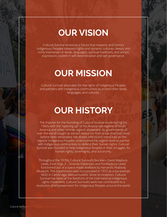## **OUR VISION**

Cultural Survival envisions a future that respects and honors Indigenous Peoples' inherent rights and dynamic cultures, deeply and richly interwoven in lands, languages, spiritual traditions, and artistic expression, rooted in self-determination and self-governance.

## **OUR MISSION**

Cultural Survival advocates for the rights of Indigenous Peoples and partners with Indigenous communities to protect their lands, languages, and cultures.

## **OUR HISTORY**

The impulse for the founding of Cultural Survival arose during the 1960s with the "opening up" of the Amazonian regions of South America and other remote regions elsewhere. As governments all over the world sought to extract resources from areas that had never before been developed, the drastic effects this trend had on the regions' Indigenous Peoples underscored the urgent need to partner with Indigenous communities to defend their human rights. Cultural Survival was founded to help Indigenous Peoples in their struggles for human rights, sovereignty, and autonomy.

Throughout the 1970s, Cultural Survival's founders David Maybury-Lewis, Evon Vogt, Jr., Orlando Patterson, and Pia Maybury-Lewis functioned out of a space made available by Harvard's Peabody Museum. The organization was incorporated in 1972 as a tax-exempt NGO in Cambridge, Massachusetts. Since its inception, Cultural Survival has been at the forefront of the international Indigenous rights movement. Cultural Survival's work has contributed to a revolution of empowerment for Indigenous Peoples around the world.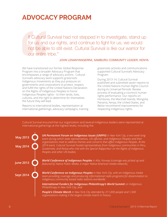## **ADVOCACY PROGRAM**

If Cultural Survival had not stepped in to investigate, stand up for us and our rights, and continue to fight for us, we would not be able to still exist. Cultural Survival is like our warrior for our entire tribe."

#### JOHN LENANYANGERRA, SAMBURU COMMUNITY LEADER, KENYA

We have transitioned our former Global Response Program into a broader Advocacy Program that encompasses a range of advocacy actions. Cultural Survival's advocacy work supports grassroots Indigenous movements as they put pressure on governments and corporations to protect, respect, and fulfill the rights of the United Nations Declaration on the Rights of Indigenous Peoples to honor Indigenous Peoples rights-- to their lands, lives, cultures, and the right to determine for themselves the future they will lead.

Reports to international bodies, representation at international gatherings, advocacy campaigns, training grassroots activists and communications supported Cultural Survival's Advocacy Program.

During 2013-14, Cultural Survival published and submitted seven reports to the United Nations Human Rights Council during its Universal Periodic Review process of evaluating a country's human rights performance. Our reports on Honduras, the Marshall Islands, Mongolia, Panama, Kenya, the United States, and Belize recommend improvements for respecting Indigenous rights.

international gatherings at the highest levels, including the:



Cultural Survival ensured that our organization and several indigenous leaders were represented at<br>
international gatherings at the highest levels, including the:<br>
2013<br>
2013<br>
2014 Curvid Winding Winding Survid Insected co *UN Permanent Forum on Indigenous Issues (UNPFII)* **in New York City, a two-week long** *event during which state representatives, UN officials, and Indigenous Peoples and their organizations meet to address themes and concerns that affect Indigenous Peoples. At the 2014 event, Cultural Survival hosted representatives from Indigenous communities in Peru, Guatemala, and Kenya who met with the Special Rapporteur on the Rights of Indigenous Peoples and other UN bodies;*

**June 2013** *World Conference of Indigenous Peoples in Alta, Norway (coverage was picked up and featured by Native Public Media, a major Native American media network);*

**Sept 2014** *World Conference on Indigenous Peoples in New York City, with an Indigenous media team providing coverage and producing informational radio programs for dissemination to Indigenous community based radio stations worldwide;*

> **International Funders for Indigenous Philanthropy's World Summit on Indigenous** *Philanthropy in New York City; and*

*People's Climate March in New York City attended by 311,000 people and 1,500 organizations making it the largest climate march in history.*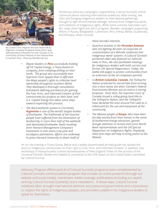

Apu David Chino inspects the toxic waste left by Argentine company Pluspetrol Norte which operated petroleum extraction for over 43 years in his community of Nuevo Andoas on the Pastaza River in northern Peru. Photo by Danielle DeLuca.

- *• Mayan leaders in Peru successfully holding off US Capital Energy, a Texas-based oil company, from initiating drilling on their lands. The group also successfully won Supreme Court appeal that re-affirmed the Maya people's rights to collective land ownership throughout southern Belize. They developed a thorough consultation framework defining procedures for gaining the Free, Prior, and Informed Consent of their communities for projects on their land, and U.S. Capital Energy has taken some steps toward respecting this process.*
- *• The Iberá wetlands system in Corrientes, Argentina is one of the world's largest bodies of freshwater. The livelihoods of the Guaraní people have suffered from the elimination of biodiversity in more than half of the wetlands and devastated freshwater levels resulting from Harvard Management Company's investment in vast mono-crop pine and eucalyptus plantations. Efforts are underway to press Harvard University to divest itself of*

#### *these harmful interests.*

Numerous advocacy campaigns, supported by Cultural Survival's online communications reaching international audiences, letter writing, site visits and bringing Indigenous leaders to international gatherings

brought to light environmental damage, removal from Indigenous lands, and violations of Indigenous rights. While some victories have been won (for now), other fights are still in progress. Besides campaigns supporting efforts in Russia, Bangladesh, Cameroon, Peru, Kenya, Belize, Guatemala,

and Ethiopia, others include:

- *• Quechua activists in the Peruvian Amazon who are fighting 40 years of corporate oil contamination of a delicate rainforest and Indigenous water systems. A Cultural Survivalproduced video was featured on national news in Peru. We also facilitated meetings for Indigenous leaders with both current and former UN Special Rapporteurs. Today, the battle still wages to protect communities from an extension of the oil company's permits.*
- *• In British Columbia, Canada, the Tsilhqo'tin Nation protected its sacred lake from turning into a toxic waste site when Canada's Federal Environment Minister put an end to a mining proposal. Since then, the Supreme Court of Canada issued a ruling giving land title to the Tsilhqot'in Nation, and the Tsilhqot'in have declared the area around Fish Lake as a tribal park for the use and enjoyment of the community.*
- *• The Masaai people of Kenya, who have been forcibly evicted from their homes in the name of biothermal energy extraction, gained enough attention to receive visits from World Bank representatives and the UN Special Rapporteur on Indigenous Rights. Hopefully, these first steps will help to bring justice to the Maasai.*

An on-site training in Punta Gorda, Belize and a widely disseminated printed guide has spread the word to Indigenous communities on their right to Free, Prior, and Informed Consent. In addition, two workshops in Massachusetts trained representatives of New England Tribes on the process of the Universal Periodic Review and helped to contribute to the UPR report on the United States submitted by Cultural Survival.

Advocacy Program efforts (and all of Cultural Survival's programs) were complemented by Cultural Survival's communications program that includes an online presence (through our website and social media), mainstream media coverage, publications (including our awardwinning Cultural Survival Quarterly), and e-newsletters. In these ways, Cultural Survival mobilized allies, brought international attention and pressured governments and corporations to respect the rights of Indigenous peoples, and provided a platform for Indigenous leaders to speak for themselves.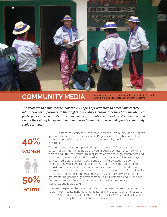

#### **COMMUNITY MEDIA**

Strategizing in front of community radio station, Radio Xob'il Yol Qman Txun, in Todos Santos Cuchumantan, Guatemala.

*The goals are to empower the Indigenous Peoples of Guatemala to access and control information of importance to their rights and cultures, ensure that they have the ability to participate in the country's nascent democracy, promote their freedom of expression, and secure the right of Indigenous communities in Guatemala to own and operate community radio stations.*





2013-14 witnessed significant steps forward for the Community Media Program (previously called the Community Radio Program) overall, with some individual radio stations suffering from raids and persecution by the Guatemalan government.

Training events built the capacity of approximately 1,000 radio station personnel, community members and young people. An estimated 40% were women and 50% were youth. Trainings were offered through conferences and workshops hosted by Cultural Survival and others. A series of 24 exchanges between radio stations during 2013 and 2014 offered station personnel the opportunity to learn from one another, create bonds that continue to strengthen commitment to the community radio movement, and discuss approaches to protecting local environments and Indigenous self-sustainability. Three youth conferences in 2013 organized by Cultural Survival with three grassroots, Indigenous organizations from Belize, Guatemala and El Salvador reached more than 50 young people who will be the next generation of journalists and radio activists.

One useful aspect of the training resulted in the development of a Community Radio Impact Assessment tool that measures if and to what extent that station is achieving its goals. Resulting from their own assessments, stations adjusted their programming based on listeners' feedback.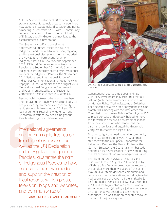Cultural Survival's network of 80 community radio stations across Guatemala grew to include three new stations in Guatemala, El Salvador and Belize. A meeting in September 2013 with 33 community leaders from communities in the municipality of El Estor, Izabal in Guatemala may lead to the establishment of a new station.

Our Guatemala staff and our allies at Sobrevivencia Cultural raised the issue of Indigenous and free media in national, regional, and international discussions. Venues included: the May 2013 UN Permanent Forum on Indigenous Issues in New York; the September 2014 UN World Conference on Indigenous Peoples; the September 2014 World Summit on Indigenous Philanthropy hosted by International Funders for Indigenous Peoples; the November 2014 National and International Forum of Indigenous Communication and Public Policy in Popayan, Cauca, Colombia; and the August 2014 "Second National Congress on Discrimination and Racism" organized by the Presidential Commission Against Racism in Guatemala.

Beyond public outreach, the courts have been another avenue through which Cultural Survival has pursued legal remedies for community radio stations. Following up on 2011 and 2012 legal arguments regarding whether current Telecommunications law denies Indigenous Peoples their rights, and Guatemalan

International agreements and human rights treaties on freedom of expression, as well as the UN Declaration on the Rights of Indigenous Peoples, guarantee the right of Indigenous Peoples to have access to their own media and support the creation of local reports, written press, television, blogs and websites, and community radio"

ANSELMO XUNIC AND CESAR GOMEZ



On air at Radio La X Musical Cajola, in Cajola, Quetzaltenango, Guatemala.

Constitutional Court's ambiguous findings, Cultural Survival heard in March 2014 that our petition (with the Inter-American Commission on Human Rights (filed in September 2012) has been selected as a case for priority handling. Our March 2013 meeting with the Inter-American Commission on Human Rights in Washington, D.C. to plead our case undoubtedly helped to move this forward. We received a favorable response from the Commission who denounced the discriminatory laws and urged the Guatemalan Congress to change this legislation.

To bring to light the need to legalize community radio in Guatemala, in May 2014, Guatemala staff met with the UN Special Rapporteur for Indigenous Peoples, the Danish Embassy, the German Embassy, the Guatemalan Ambassador, and the Chilean Ambassador in New York during the UN Permanent Forum on Indigenous Issues.

Thanks to Cultural Survival's resources and resourcefulness, in August 2014, Radio Jun Toj of Rabinal, Baja Verapaz celebrated its return to the air after more than two years off the air. In May 2014, our team delivered computers and consoles to four radio stations, including two that had been raided and taken off the air (Radio San José and Radio Damasco). Following a December 2014 raid, Radio Juventud reclaimed its radio station equipment (aided by a judge who reversed an order) that was seized by government authorities. This was an unprecedented move on the part of the justice system.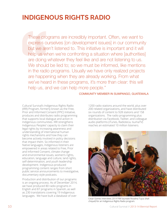## **INDIGENOUS RIGHTS RADIO**

These programs are incredibly important. Often, we want to express ourselves [on development issues] in our community but we aren't listened to. This initiative is important and it will help us when we're confronting a situation where [authorities] are doing whatever they feel like and are not listening to us. We should be lied to; so we must be informed, like mentions in the radio programs. Usually we have only realized projects are happening when they are already working. From what we've heard in these programs, it's more than clear: this will help us, and we can help more people."

#### COMMUNITY MEMBER IN SUMPANGO, GUATEMALA

Cultural Survival's Indigenous Rights Radio (IRR) Program, formerly known as the Free, Prior and Informed Consent (FPIC) Initiative, produces and distributes radio programming that supports local dialogue and action in Indigenous communities. IRR strengthens Indigenous Peoples' capacity to claim their legal rights by increasing awareness and understanding of international human rights mechanisms and how they can become actively involved in policy decisions that impact them. So informed in their Native languages, Indigenous listeners are empowered in areas related to Free, Prior and Informed Consent, climate change and environmental issues, women's rights, education, language and culture, land rights, self-determination, and youth leadership development. Indigenous-produced programming content ranges from short public service announcements to investigative, documentary style podcasts.

Production and distribution of our programs is an ongoing process. As of December 2014, we have produced 80 radio programs in English and 87 programs in Spanish, as well as 230 translations covering 19 Indigenous languages. We have built a database of over

1200 radio stations around the world, plus over 200 related organizations, and have distributed six rounds of content to 928 stations and 158 organizations. The radio programming plus distribution via Facebook, Twitter, and colleague audio platforms (iTunes, Radioteca, IsumaTV) reaches an estimated 10 million listeners.



Cesar Gomez interviews 2014 FIMI laureate Rosalina Tuyuc (Kakchiquel) for an Indigenous Rights Radio program.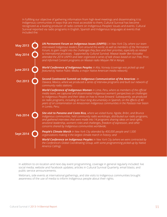In fulfilling our objective of gathering information from high-level meetings and disseminating it to Indigenous communities in ways that are most accessible to them, Cultural Survival has become recognized as a leading producer of radio content on Indigenous Peoples' issues and events. Cultural Survival reported via radio programs in English, Spanish and Indigenous languages at events that included the:



In addition to on-location and next-day event programming, coverage in general regularly included: live social media; website and Facebook updates; articles in Cultural Survival Quarterly; email blasts; and public service announcements.

Webinars, side events at international gatherings, and site visits to Indigenous communities brought awareness of the use of media to inform Indigenous people about their rights.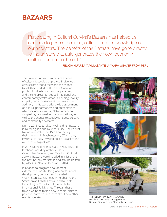### **BAZAARS**

Participating in Cultural Survival's Bazaars has helped us continue to generate our art, culture, and the knowledge of our ancestors. The benefits of the Bazaars have gone directly to the artisans that auto-generates their own economy, clothing, and nourishment."

#### FELICIA HUARSAYA VILLASANTE, AYMARA WEAVER FROM PERU

The Cultural Survival Bazaars are a series of cultural festivals that provide Indigenous artists from around the world the chance to sell their work directly to the American public. Hundreds of artists, cooperatives, and their representatives sell traditional and contemporary crafts, artwork, clothing, jewelry, carpets, and accessories at the Bazaars. In addition, the Bazaars offer a wide assortment of cultural performances and presentations, which include live music, Native American storytelling, craft-making demonstrations, as well as the chance to speak with guest artisans and community advocates.

During 2013 Cultural Survival held ten Bazaars in New England and New York City. The Pequot Nation celebrated the 15th Anniversary of their museum in Mashantucket, CT and they invited Cultural Survival to hold a Bazaar at the museum in August 2013.

In 2014 we held nine Bazaars in New England locations, including Amherst, Boston, Cambridge, Falmouth, and Tiverton. Cultural Survival Bazaars were included in a list of the five best holiday markets in and around Boston by WBZ CBS News in December 2014.

In relation to program development, external relations building, and professional development, program staff traveled to Washington, DC in June 2014 to observe the Smithsonian Folklife Festival and to Santa Fe, NM in July 2014 to visit the Santa Fe International Folk Market. Through these travels we hope to find new vendors, artisans, potential partners, and learn about how other events operate. The second control of the second top: FELICIA HUARSAYA VILLASANTE



Middle: A creation by Domingo Bernard. Bottom: Sidy Maiga and Afrimanding perform.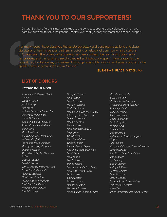## **THANK YOU TO OUR SUPPORTERS!**

Cultural Survival offers its sincere gratitude to the donors, supporters and volunteers who make possible our work to serve Indigenous Peoples. We thank you for your moral and financial support.

For many years I have observed the astute advocacy and constructive actions of Cultural Survival and their Indigenous partners in building a network of community radio stations in Guatemala. The collaborative strategy has been brilliant, the teamwork consistently remarkable, and the funding carefully directed and judiciously spent. I am grateful for the opportunity to channel my commitment to Indigenous rights, dignity, and equal standing in the global community through Cultural Survival."

*Nancy E. Fleischer*

#### SUSANNA B. PLACE, MILTON, MA

#### **LIST OF DONORS**

#### **Patrons (\$500-\$999)**

*Rosamond W. Allen and Paul Landry Louise T. Ambler Janet K. Amighi Kelly Askew Whitney Beals and Pamela Esty Shirley and Tim Blancke Louise M. Burkhart Jerry S. and Barbara Buttrey Robert C. and Ann Buxbaum Joann Calve Mary Ann Camp Jim Campen and Phyllis Ewen Nicholas Canfield Fay M. and Alfred Chandler Murray and Linley Chapman Chickasaw Nation Richard and Carolyn Clemmer-Smith Elizabeth Colson David R. Conna Jean D. Crandall Memorial Fund Culver Family Foundation Robert L. Deshotels Christopher Donahue William and Katy Durham Earth Medicine Alliance Kirk and Karen Endicott Equal Exchange*

*Anne Forsyth Sara Frommer Helen W. Gjessing K. M. Harbinson Michael and Cornelia Herzfeld Michael J. Hirschhorn and Jimena P. Martinez Michael H. Horn Embry Howell Jantz Management LLC Ralph Jones Sara A. Keller Eric Michael Kelley Willett Kempton Imre and Lorna Kepes Rita and Richard Dean Kipp Sarah Knox Marilyn Krysl Dinah W. Larsen Dana Lepofsky Sherman L. and Alison Lewis Mark and Helena Licalzi David Lockard Caitlin Lupton Lorraine Lyman Stephen P. Marks Herbert A. Masters Matson-Muth Charitable Fund*

*Marcella Mazzarelli Janet U. McAlpin Mariana M. McClanahan Richard and Deyne Meadow Rosemary Mudd Gilbert G. Nichols Sandy Noborikawa Elaine Nonneman Felicia Oldfather W. Kevin Pape Carmen Perez Michael Perloff Katharine M. Preston and John Bingham Tina Ramme Vivekanand Rau and Farzaneh Abhari David Rosenstein Sara Blair Winter Foundation Maria Sauzier Lou Scharpf Jane M. Starkey Kathryn S. Tholin Florence Wagner Gwen Wasicuna Bertie J. Weddell Thomas S. and Susan Weisner Catherine M. Williams Karen Yust Steven Zuckerman and Paula Gorlitz*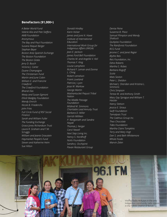#### **Benefactors (\$1,000+)**

*A Better World Fund Valerie Alia and Pete Steffens AMB Foundation Anonymous The Bay and Paul Foundation Susana Raquel Berger Stephan Beyer Boston Area Spanish Exchange The Boston Foundation The Boston Globe Jerry D. Busch Victoria J. Carter Duane Champagne The Christensen Fund Martin and June Cobin William E. and Francine Crawford The Crawford Foundation Bharat Das Westy and Susan Egmont Elliott Badgley Foundation Wendy Emrich Nicole B. Friederichs John Fries Full Circle Fund of RSF Social Finance Sarah and William Fuller The Funding Exchange Grace Jones Richardson Trust Laura R. Graham and T.M. Scruggs William and Jeanie Graustein Haymarket People's Fund Steven and Katherine Heim Sue Hilton*

*Donald Hindley Karin Holser James and June N. Howe Institute of International Education International Work Group for Indigenous Affairs (IWGIA) Jean E. Jackson James Ford Bell Foundation Charles M. and Angeliki V. Keil Thomas F. King Louise Lamphere Richard F. Leman and Donna L. Ching Robert Lemelson Frank Loveland Patricia J. Lyon Jesse W. Markow George Martin Mashantucket Pequot Tribal Nation The Middle Passage Foundation Mildred M. Simmons Charitable Lead Annuity Trust Barbara D. Miller Gerrish Milliken P. Ranganath and Sandra Nayak Thomas J. Nerger Carol Newell Next Step Living Inc. Nancy S. Nordhoff NoVo Foundation Sandra J. Occhipinti Pavan Restaurant Group*

*Denise Peine Susanna B. Place Samuel Plimpton and Wendy Shattuck Quitiplas Foundation The Rainforest Foundation RCG Fund Jerome C. and Janet Regier Blythe Reis Reis Foundation, Inc. Edna Roberts Martha S. Robes Barbara Rogoff Scola Mats Sexton Peter L. Sheldon Michael J. Sheridan and Kristina L. Simmons Chris Simpson Teresa M. and Anthony Smith Mary Gay Sprague and William T. Hassler Nancy Stetson Jessica E. Straus Swift Foundation Tamalpais Trust The Cadmus Group Inc. Theo Chocolate Tides Foundation Martha Claire Tompkins Terry and Mary Vogt Dan S. and Beth Whittemore Whole Foods Marvin Zelen* 

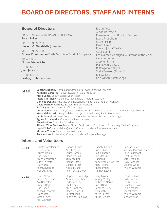## **BOARD OF DIRECTORS, STAFF AND INTERNS**

#### **Board of Directors**

PRESIDENT AND CHAIRMAN OF THE BOARD **Sarah Fuller** 

VICE CHAIR (2013) **Vincent O. Nmehielle** (Ikwerre)

VICE CHAIR (2014) **Duane Champagne** (Turtle Mountain Band of Chippewa)

**TREASURER Nicole Friederichs**

CLERK (2013) **Jean Jackson** 

CLERK (2014) **Lesley J. Kabotie** (Crow)

Evelyn Arce Alison Bernstein Karmen Ramírez Boscán (Wayuu) Laura R. Graham Steven Heim James Howe Edward John (Tl'azt'en) Cecilia Lenk Les Malezer (Aboriginal Australian of the Gabi Gabi Community) Stephen Marks Pia Maybury-Lewis P. Ranganath Nayak Stella Tamang (Tamang) Jeff Wallace Che Wilson (Ngāti Rangi)

**Staff Suzanne Benally** (Navajo and Santa Clara Tewa), Executive Director **Kaimana Barcarse** (Native Hawaiian), Radio Producer **Mark Camp**, Deputy Executive Director **Jessie Cherofsky**, Indigenous Rights Radio Program Associate **Danielle DeLuca**, Advocacy and Indigenous Rights Radio Program Manager **David Michael Favreau**, Bazaar Program Manager **Sofia Flynn**, Accounting & Office Manager **Cesar Gomez** (Pocomam), Content Production & Training Coordinator, Community Media Program **María del Rosario 'Rosy' Sul** González (Kakchiquel Maya), Radio Producer **Jamie Malcolm-Brown**, Communications & Information Technology Manager **Agnes Portalewska**, Communications Manager **Angelica Rao**, Executive Coordinator **Alberto 'Tino' Recinos** (Mam), Citizen Participation Coordinator, Community Media Program **Ingrid Sub Cuc** (Kaqchikel/Q'eqchi), Community Media Program Assistant **Miranda Vitello**, Development Associate **Ancelmo Xunic** (Kachikel), Community Media Program Manager

#### **Interns and Volunteers**

| 2013 | Timothy Argetsinger<br>Sasha Benov<br>Lauren Bolles<br>Don Butler<br>Aileen Charleston<br>Jessie Cherofsky<br>Ryann Dear<br>Andrea Delgado<br>Nick DiMatteo | Hannah Ellman<br>Amy Ferguson<br>Laura Garbes<br>Madeline Hall<br>Terrance Hall<br>Megan Harris<br>Daniel Horgan<br>Nicole Huang<br>Pearl Jurist-Schoen | Danielle Kaigler<br>Curtis Kline<br>Caitlin Lupton<br>Erin McArdle<br>Daniel Ng<br>Kelsey Parker von Jess<br>Mary Peters<br>Alyssa Phelps<br>Hannah Reeve | Hannah Reier<br>Johanna Rincon Fernandez<br>Colin Rosemont<br>Eliott Rousseau<br>Sara Schenkel<br>Holly Swanson<br>Melanie White<br>Kristen Williams |
|------|-------------------------------------------------------------------------------------------------------------------------------------------------------------|---------------------------------------------------------------------------------------------------------------------------------------------------------|-----------------------------------------------------------------------------------------------------------------------------------------------------------|------------------------------------------------------------------------------------------------------------------------------------------------------|
| 2014 | Omar Alcover<br>Bianca Annoscia<br>Ava Berinstein<br>Bridget Boyle<br>Don Butler<br>Kendall Crawford<br>Ryann Dear<br>Jordan Engel<br>Alex Glomset          | Stephanie Guthridge<br>Amadeus Kaelber<br>Leda Kennedy<br>Elie Kommel<br>Alicja Kowalczyk<br>Madeline McGill<br>Carley Minkler<br>Sophia Mitrokostas    | Emily Moline<br>Johnny Motley<br>Katharine Norris<br>Julie O'Neill<br>Rebecca Quick<br>Nina Roth<br>Karen Sargent<br>Alison Schloss                       | Tracie Sullivan<br>Holly Swanson<br>Cecilia Tripoli<br>Penelope Turner<br>Chloe Walker<br>Rachel Ward<br>Kristen Williams<br>Jenna Winton            |